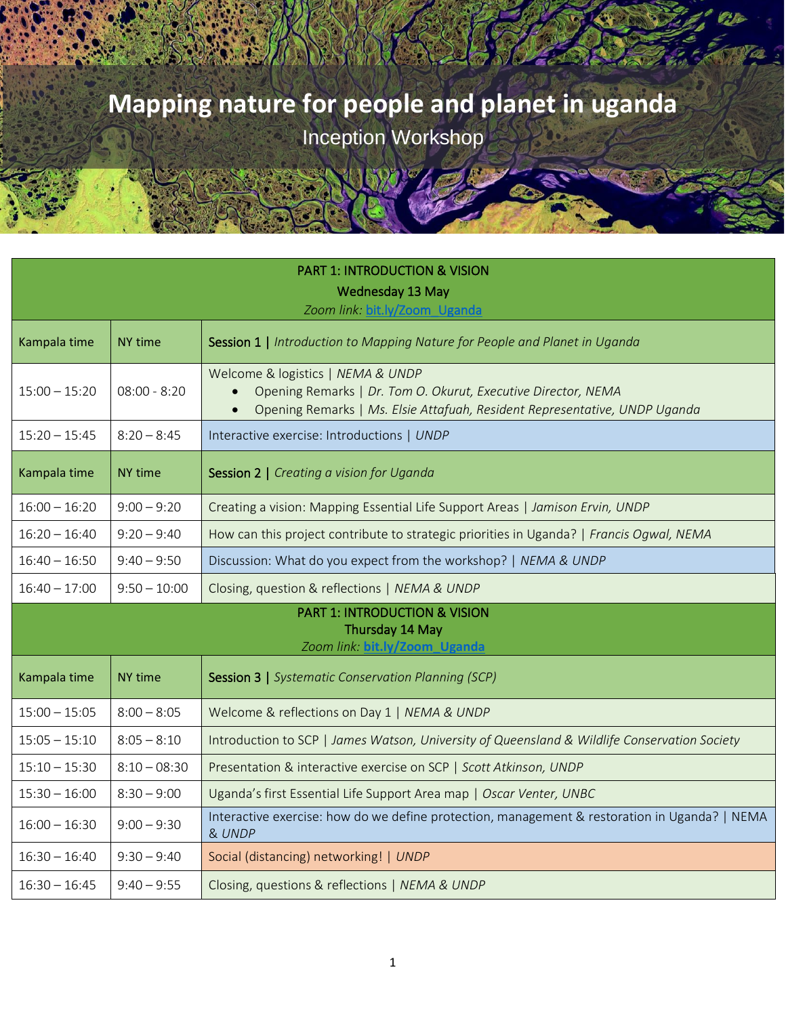| <b>PART 1: INTRODUCTION &amp; VISION</b>                                                     |                |                                                                                                                                                                                  |  |  |  |
|----------------------------------------------------------------------------------------------|----------------|----------------------------------------------------------------------------------------------------------------------------------------------------------------------------------|--|--|--|
|                                                                                              |                | Wednesday 13 May<br>Zoom link: bit.ly/Zoom_Uganda                                                                                                                                |  |  |  |
| Kampala time                                                                                 | NY time        | Session 1   Introduction to Mapping Nature for People and Planet in Uganda                                                                                                       |  |  |  |
| $15:00 - 15:20$                                                                              | $08:00 - 8:20$ | Welcome & logistics   NEMA & UNDP<br>Opening Remarks   Dr. Tom O. Okurut, Executive Director, NEMA<br>Opening Remarks   Ms. Elsie Attafuah, Resident Representative, UNDP Uganda |  |  |  |
| $15:20 - 15:45$                                                                              | $8:20 - 8:45$  | Interactive exercise: Introductions   UNDP                                                                                                                                       |  |  |  |
| Kampala time                                                                                 | NY time        | Session 2   Creating a vision for Uganda                                                                                                                                         |  |  |  |
| $16:00 - 16:20$                                                                              | $9:00 - 9:20$  | Creating a vision: Mapping Essential Life Support Areas   Jamison Ervin, UNDP                                                                                                    |  |  |  |
| $16:20 - 16:40$                                                                              | $9:20 - 9:40$  | How can this project contribute to strategic priorities in Uganda?   Francis Ogwal, NEMA                                                                                         |  |  |  |
| $16:40 - 16:50$                                                                              | $9:40 - 9:50$  | Discussion: What do you expect from the workshop?   NEMA & UNDP                                                                                                                  |  |  |  |
| $16:40 - 17:00$                                                                              | $9:50 - 10:00$ | Closing, question & reflections   NEMA & UNDP                                                                                                                                    |  |  |  |
| <b>PART 1: INTRODUCTION &amp; VISION</b><br>Thursday 14 May<br>Zoom link: bit.ly/Zoom Uganda |                |                                                                                                                                                                                  |  |  |  |
| Kampala time                                                                                 | NY time        | <b>Session 3   Systematic Conservation Planning (SCP)</b>                                                                                                                        |  |  |  |
| $15:00 - 15:05$                                                                              | $8:00 - 8:05$  | Welcome & reflections on Day 1   NEMA & UNDP                                                                                                                                     |  |  |  |
| $15:05 - 15:10$                                                                              | $8:05 - 8:10$  | Introduction to SCP   James Watson, University of Queensland & Wildlife Conservation Society                                                                                     |  |  |  |
| $15:10 - 15:30$                                                                              | $8:10 - 08:30$ | Presentation & interactive exercise on SCP   Scott Atkinson, UNDP                                                                                                                |  |  |  |
| $15:30 - 16:00$                                                                              | $8:30 - 9:00$  | Uganda's first Essential Life Support Area map   Oscar Venter, UNBC                                                                                                              |  |  |  |
| $16:00 - 16:30$                                                                              | $9:00 - 9:30$  | Interactive exercise: how do we define protection, management & restoration in Uganda?   NEMA<br>& UNDP                                                                          |  |  |  |
| $16:30 - 16:40$                                                                              | $9:30 - 9:40$  | Social (distancing) networking!   UNDP                                                                                                                                           |  |  |  |
| $16:30 - 16:45$                                                                              | $9:40 - 9:55$  | Closing, questions & reflections   NEMA & UNDP                                                                                                                                   |  |  |  |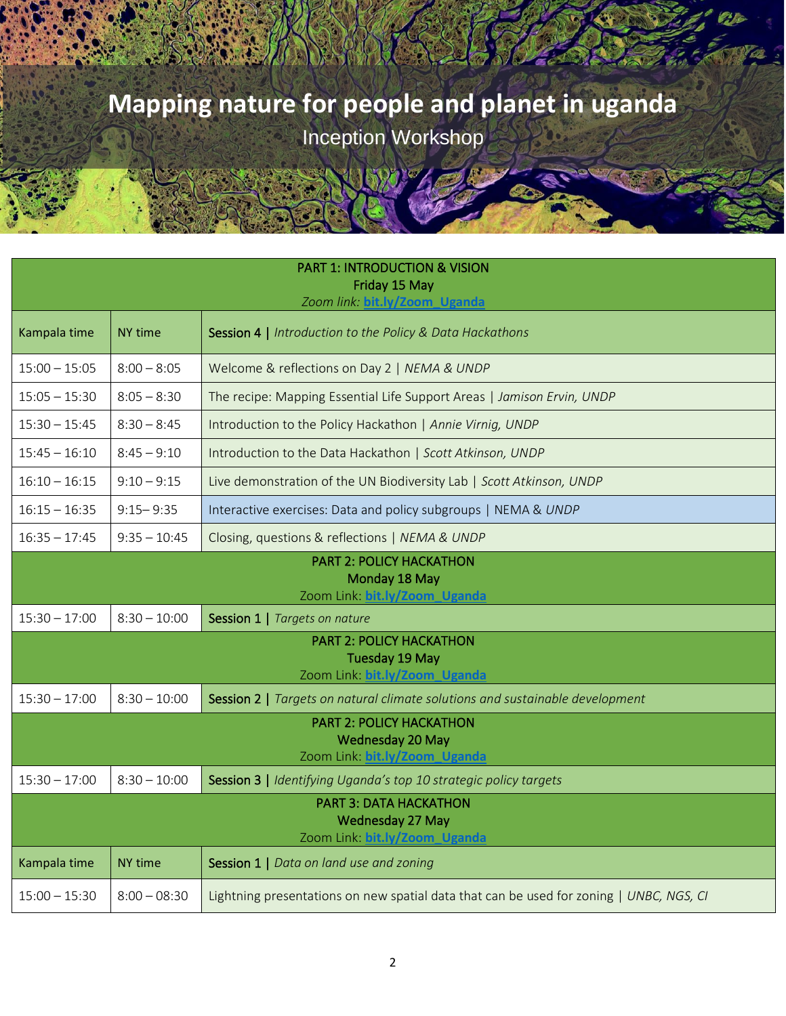| <b>PART 1: INTRODUCTION &amp; VISION</b><br>Friday 15 May<br>Zoom link: bit.ly/Zoom Uganda |                |                                                                                         |  |  |
|--------------------------------------------------------------------------------------------|----------------|-----------------------------------------------------------------------------------------|--|--|
| Kampala time                                                                               | NY time        | Session 4   Introduction to the Policy & Data Hackathons                                |  |  |
| $15:00 - 15:05$                                                                            | $8:00 - 8:05$  | Welcome & reflections on Day 2   NEMA & UNDP                                            |  |  |
| $15:05 - 15:30$                                                                            | $8:05 - 8:30$  | The recipe: Mapping Essential Life Support Areas   Jamison Ervin, UNDP                  |  |  |
| $15:30 - 15:45$                                                                            | $8:30 - 8:45$  | Introduction to the Policy Hackathon   Annie Virnig, UNDP                               |  |  |
| $15:45 - 16:10$                                                                            | $8:45 - 9:10$  | Introduction to the Data Hackathon   Scott Atkinson, UNDP                               |  |  |
| $16:10 - 16:15$                                                                            | $9:10 - 9:15$  | Live demonstration of the UN Biodiversity Lab   Scott Atkinson, UNDP                    |  |  |
| $16:15 - 16:35$                                                                            | $9:15 - 9:35$  | Interactive exercises: Data and policy subgroups   NEMA & UNDP                          |  |  |
| $16:35 - 17:45$                                                                            | $9:35 - 10:45$ | Closing, questions & reflections   NEMA & UNDP                                          |  |  |
|                                                                                            |                | <b>PART 2: POLICY HACKATHON</b><br>Monday 18 May<br>Zoom Link: bit.ly/Zoom Uganda       |  |  |
| $15:30 - 17:00$                                                                            | $8:30 - 10:00$ | Session 1   Targets on nature                                                           |  |  |
|                                                                                            |                | <b>PART 2: POLICY HACKATHON</b><br>Tuesday 19 May<br>Zoom Link: bit.ly/Zoom_Uganda      |  |  |
| $15:30 - 17:00$                                                                            | $8:30 - 10:00$ | Session 2   Targets on natural climate solutions and sustainable development            |  |  |
|                                                                                            |                | <b>PART 2: POLICY HACKATHON</b><br>Wednesday 20 May<br>Zoom Link: bit.ly/Zoom_Uganda    |  |  |
| $15:30 - 17:00$                                                                            | $8:30 - 10:00$ | Session 3   Identifying Uganda's top 10 strategic policy targets                        |  |  |
| <b>PART 3: DATA HACKATHON</b><br>Wednesday 27 May<br>Zoom Link: bit.ly/Zoom Uganda         |                |                                                                                         |  |  |
| Kampala time                                                                               | <b>NY time</b> | Session 1   Data on land use and zoning                                                 |  |  |
| $15:00 - 15:30$                                                                            | $8:00 - 08:30$ | Lightning presentations on new spatial data that can be used for zoning   UNBC, NGS, CI |  |  |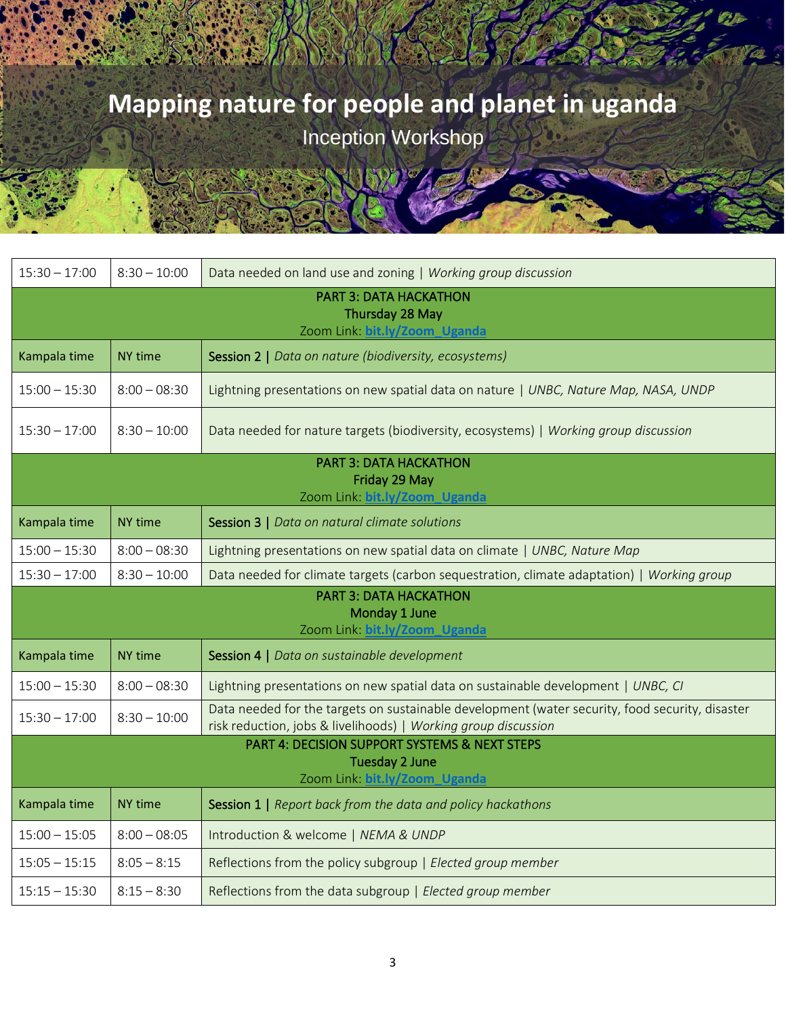| $15:30 - 17:00$                                                                                         | $8:30 - 10:00$ | Data needed on land use and zoning   Working group discussion                                                                                                     |  |  |
|---------------------------------------------------------------------------------------------------------|----------------|-------------------------------------------------------------------------------------------------------------------------------------------------------------------|--|--|
| <b>PART 3: DATA HACKATHON</b><br>Thursday 28 May<br>Zoom Link: bit.ly/Zoom Uganda                       |                |                                                                                                                                                                   |  |  |
| Kampala time                                                                                            | NY time        | Session 2   Data on nature (biodiversity, ecosystems)                                                                                                             |  |  |
| $15:00 - 15:30$                                                                                         | $8:00 - 08:30$ | Lightning presentations on new spatial data on nature   UNBC, Nature Map, NASA, UNDP                                                                              |  |  |
| $15:30 - 17:00$                                                                                         | $8:30 - 10:00$ | Data needed for nature targets (biodiversity, ecosystems)   Working group discussion                                                                              |  |  |
|                                                                                                         |                | <b>PART 3: DATA HACKATHON</b>                                                                                                                                     |  |  |
|                                                                                                         |                | Friday 29 May<br>Zoom Link: bit.ly/Zoom_Uganda                                                                                                                    |  |  |
| Kampala time                                                                                            | NY time        | Session 3   Data on natural climate solutions                                                                                                                     |  |  |
| $15:00 - 15:30$                                                                                         | $8:00 - 08:30$ | Lightning presentations on new spatial data on climate   UNBC, Nature Map                                                                                         |  |  |
| $15:30 - 17:00$                                                                                         | $8:30 - 10:00$ | Data needed for climate targets (carbon sequestration, climate adaptation)   Working group                                                                        |  |  |
| <b>PART 3: DATA HACKATHON</b><br>Monday 1 June<br>Zoom Link: bit.ly/Zoom Uganda                         |                |                                                                                                                                                                   |  |  |
| Kampala time                                                                                            | NY time        | Session 4   Data on sustainable development                                                                                                                       |  |  |
| $15:00 - 15:30$                                                                                         | $8:00 - 08:30$ | Lightning presentations on new spatial data on sustainable development   UNBC, CI                                                                                 |  |  |
| $15:30 - 17:00$                                                                                         | $8:30 - 10:00$ | Data needed for the targets on sustainable development (water security, food security, disaster<br>risk reduction, jobs & livelihoods)   Working group discussion |  |  |
| PART 4: DECISION SUPPORT SYSTEMS & NEXT STEPS<br><b>Tuesday 2 June</b><br>Zoom Link: bit.ly/Zoom Uganda |                |                                                                                                                                                                   |  |  |
| Kampala time                                                                                            | NY time        | Session 1   Report back from the data and policy hackathons                                                                                                       |  |  |
| $15:00 - 15:05$                                                                                         | $8:00 - 08:05$ | Introduction & welcome   NEMA & UNDP                                                                                                                              |  |  |
| $15:05 - 15:15$                                                                                         | $8:05 - 8:15$  | Reflections from the policy subgroup   Elected group member                                                                                                       |  |  |
| $15:15 - 15:30$                                                                                         | $8:15 - 8:30$  | Reflections from the data subgroup   Elected group member                                                                                                         |  |  |